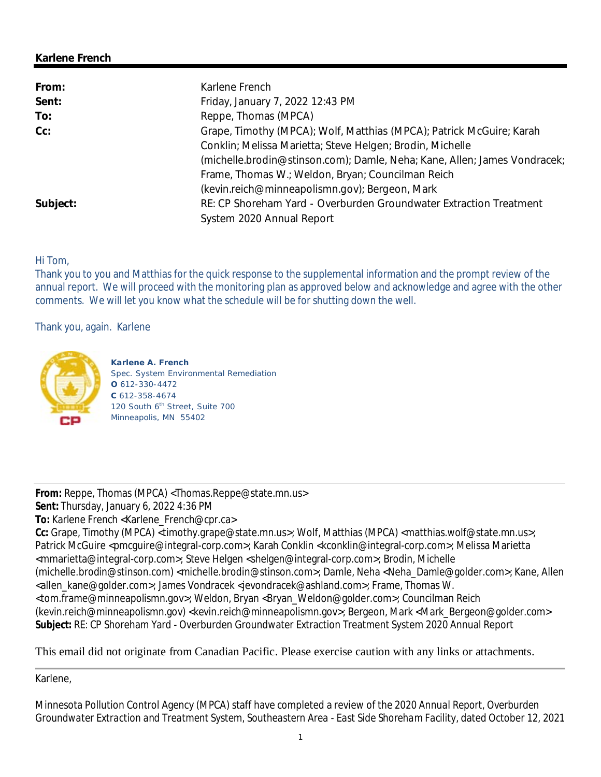#### **Karlene French**

| From:    | Karlene French                                                            |
|----------|---------------------------------------------------------------------------|
| Sent:    | Friday, January 7, 2022 12:43 PM                                          |
| To:      | Reppe, Thomas (MPCA)                                                      |
| $Cc$ :   | Grape, Timothy (MPCA); Wolf, Matthias (MPCA); Patrick McGuire; Karah      |
|          | Conklin; Melissa Marietta; Steve Helgen; Brodin, Michelle                 |
|          | (michelle.brodin@stinson.com); Damle, Neha; Kane, Allen; James Vondracek; |
|          | Frame, Thomas W.; Weldon, Bryan; Councilman Reich                         |
|          | (kevin.reich@minneapolismn.gov); Bergeon, Mark                            |
| Subject: | RE: CP Shoreham Yard - Overburden Groundwater Extraction Treatment        |
|          | System 2020 Annual Report                                                 |

## Hi Tom,

Thank you to you and Matthias for the quick response to the supplemental information and the prompt review of the annual report. We will proceed with the monitoring plan as approved below and acknowledge and agree with the other comments. We will let you know what the schedule will be for shutting down the well.

Thank you, again. Karlene



**Karlene A. French** Spec. System Environmental Remediation **O** 612-330-4472 **C** 612-358-4674 120 South 6<sup>th</sup> Street, Suite 700 Minneapolis, MN 55402

From: Reppe, Thomas (MPCA) <Thomas.Reppe@state.mn.us> **Sent:** Thursday, January 6, 2022 4:36 PM

**To:** Karlene French <Karlene\_French@cpr.ca>

**Cc:** Grape, Timothy (MPCA) <timothy.grape@state.mn.us>; Wolf, Matthias (MPCA) <matthias.wolf@state.mn.us>; Patrick McGuire <pmcguire@integral-corp.com>; Karah Conklin <kconklin@integral-corp.com>; Melissa Marietta <mmarietta@integral-corp.com>; Steve Helgen <shelgen@integral-corp.com>; Brodin, Michelle (michelle.brodin@stinson.com) <michelle.brodin@stinson.com>; Damle, Neha <Neha\_Damle@golder.com>; Kane, Allen <allen\_kane@golder.com>; James Vondracek <jevondracek@ashland.com>; Frame, Thomas W. <tom.frame@minneapolismn.gov>; Weldon, Bryan <Bryan\_Weldon@golder.com>; Councilman Reich (kevin.reich@minneapolismn.gov) <kevin.reich@minneapolismn.gov>; Bergeon, Mark <Mark\_Bergeon@golder.com> **Subject:** RE: CP Shoreham Yard - Overburden Groundwater Extraction Treatment System 2020 Annual Report

## This email did not originate from Canadian Pacific. Please exercise caution with any links or attachments.

Karlene,

Minnesota Pollution Control Agency (MPCA) staff have completed a review of the *2020 Annual Report, Overburden Groundwater Extraction and Treatment System, Southeastern Area - East Side Shoreham Facility*, dated October 12, 2021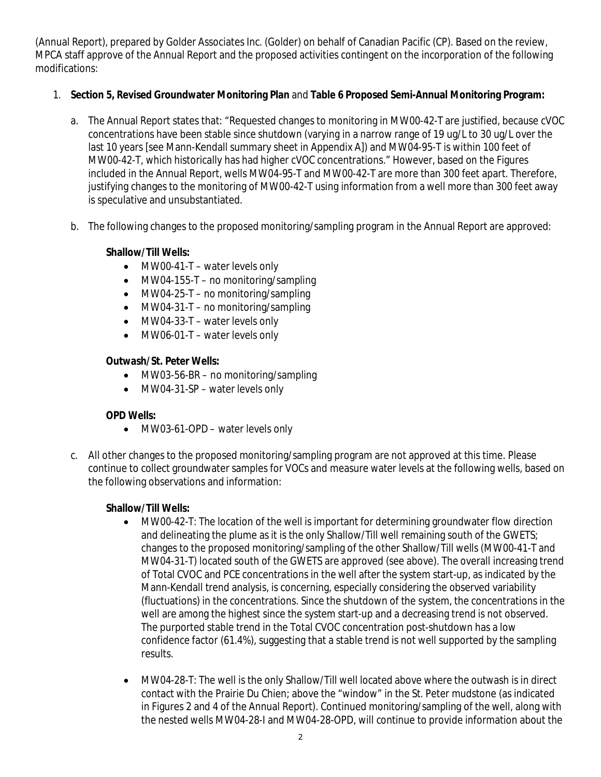(Annual Report), prepared by Golder Associates Inc. (Golder) on behalf of Canadian Pacific (CP). Based on the review, MPCA staff approve of the Annual Report and the proposed activities contingent on the incorporation of the following modifications:

- 1. **Section 5, Revised Groundwater Monitoring Plan** and **Table 6 Proposed Semi-Annual Monitoring Program:**
	- a. The Annual Report states that: "Requested changes to monitoring in MW00-42-T are justified, because cVOC concentrations have been stable since shutdown (varying in a narrow range of 19 ug/L to 30 ug/L over the last 10 years [see Mann-Kendall summary sheet in Appendix A]) and MW04-95-T is within 100 feet of MW00-42-T, which historically has had higher cVOC concentrations." However, based on the Figures included in the Annual Report, wells MW04-95-T and MW00-42-T are more than 300 feet apart. Therefore, justifying changes to the monitoring of MW00-42-T using information from a well more than 300 feet away is speculative and unsubstantiated.
	- b. The following changes to the proposed monitoring/sampling program in the Annual Report are approved:

**Shallow/Till Wells:**

- MW00-41-T water levels only
- $\bullet$  MW04-155-T no monitoring/sampling
- MW04-25-T no monitoring/sampling
- MW04-31-T no monitoring/sampling
- MW04-33-T water levels only
- MW06-01-T water levels only

**Outwash/St. Peter Wells:**

- MW03-56-BR no monitoring/sampling
- MW04-31-SP water levels only

## **OPD Wells:**

- MW03-61-OPD water levels only
- c. All other changes to the proposed monitoring/sampling program are not approved at this time. Please continue to collect groundwater samples for VOCs and measure water levels at the following wells, based on the following observations and information:

**Shallow/Till Wells:**

- MW00-42-T: The location of the well is important for determining groundwater flow direction and delineating the plume as it is the only Shallow/Till well remaining south of the GWETS; changes to the proposed monitoring/sampling of the other Shallow/Till wells (MW00-41-T and MW04-31-T) located south of the GWETS are approved (see above). The overall increasing trend of Total CVOC and PCE concentrations in the well after the system start-up, as indicated by the Mann-Kendall trend analysis, is concerning, especially considering the observed variability (fluctuations) in the concentrations. Since the shutdown of the system, the concentrations in the well are among the highest since the system start-up and a decreasing trend is not observed. The purported stable trend in the Total CVOC concentration post-shutdown has a low confidence factor (61.4%), suggesting that a stable trend is not well supported by the sampling results.
- MW04-28-T: The well is the only Shallow/Till well located above where the outwash is in direct contact with the Prairie Du Chien; above the "window" in the St. Peter mudstone (as indicated in Figures 2 and 4 of the Annual Report). Continued monitoring/sampling of the well, along with the nested wells MW04-28-I and MW04-28-OPD, will continue to provide information about the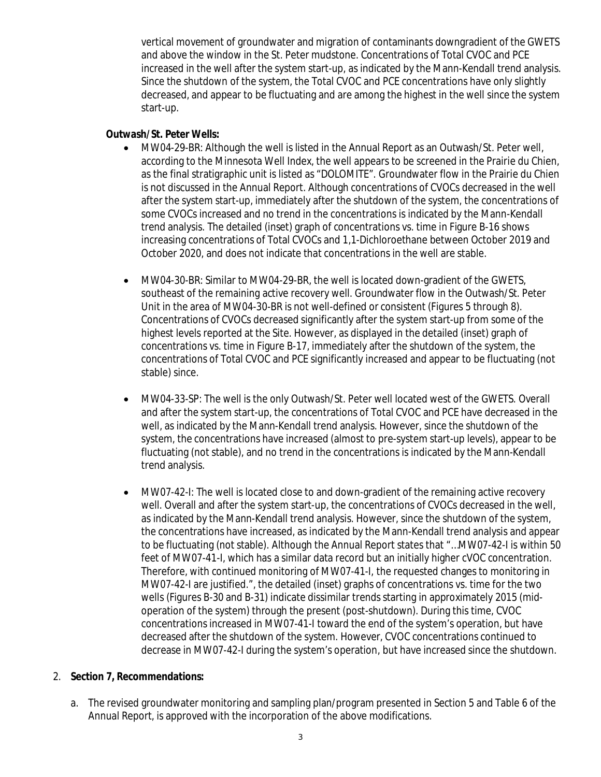vertical movement of groundwater and migration of contaminants downgradient of the GWETS and above the window in the St. Peter mudstone. Concentrations of Total CVOC and PCE increased in the well after the system start-up, as indicated by the Mann-Kendall trend analysis. Since the shutdown of the system, the Total CVOC and PCE concentrations have only slightly decreased, and appear to be fluctuating and are among the highest in the well since the system start-up.

#### **Outwash/St. Peter Wells:**

- MW04-29-BR: Although the well is listed in the Annual Report as an Outwash/St. Peter well, according to the Minnesota Well Index, the well appears to be screened in the Prairie du Chien, as the final stratigraphic unit is listed as "DOLOMITE". Groundwater flow in the Prairie du Chien is not discussed in the Annual Report. Although concentrations of CVOCs decreased in the well after the system start-up, immediately after the shutdown of the system, the concentrations of some CVOCs increased and no trend in the concentrations is indicated by the Mann-Kendall trend analysis. The detailed (inset) graph of concentrations vs. time in Figure B-16 shows increasing concentrations of Total CVOCs and 1,1-Dichloroethane between October 2019 and October 2020, and does not indicate that concentrations in the well are stable.
- MW04-30-BR: Similar to MW04-29-BR, the well is located down-gradient of the GWETS, southeast of the remaining active recovery well. Groundwater flow in the Outwash/St. Peter Unit in the area of MW04-30-BR is not well-defined or consistent (Figures 5 through 8). Concentrations of CVOCs decreased significantly after the system start-up from some of the highest levels reported at the Site. However, as displayed in the detailed (inset) graph of concentrations vs. time in Figure B-17, immediately after the shutdown of the system, the concentrations of Total CVOC and PCE significantly increased and appear to be fluctuating (not stable) since.
- MW04-33-SP: The well is the only Outwash/St. Peter well located west of the GWETS. Overall and after the system start-up, the concentrations of Total CVOC and PCE have decreased in the well, as indicated by the Mann-Kendall trend analysis. However, since the shutdown of the system, the concentrations have increased (almost to pre-system start-up levels), appear to be fluctuating (not stable), and no trend in the concentrations is indicated by the Mann-Kendall trend analysis.
- MW07-42-I: The well is located close to and down-gradient of the remaining active recovery well. Overall and after the system start-up, the concentrations of CVOCs decreased in the well, as indicated by the Mann-Kendall trend analysis. However, since the shutdown of the system, the concentrations have increased, as indicated by the Mann-Kendall trend analysis and appear to be fluctuating (not stable). Although the Annual Report states that "...MW07-42-I is within 50 feet of MW07-41-I, which has a similar data record but an initially higher cVOC concentration. Therefore, with continued monitoring of MW07-41-I, the requested changes to monitoring in MW07-42-I are justified.", the detailed (inset) graphs of concentrations vs. time for the two wells (Figures B-30 and B-31) indicate dissimilar trends starting in approximately 2015 (midoperation of the system) through the present (post-shutdown). During this time, CVOC concentrations increased in MW07-41-I toward the end of the system's operation, but have decreased after the shutdown of the system. However, CVOC concentrations continued to decrease in MW07-42-I during the system's operation, but have increased since the shutdown.
- 2. **Section 7, Recommendations:**
	- a. The revised groundwater monitoring and sampling plan/program presented in Section 5 and Table 6 of the Annual Report, is approved with the incorporation of the above modifications.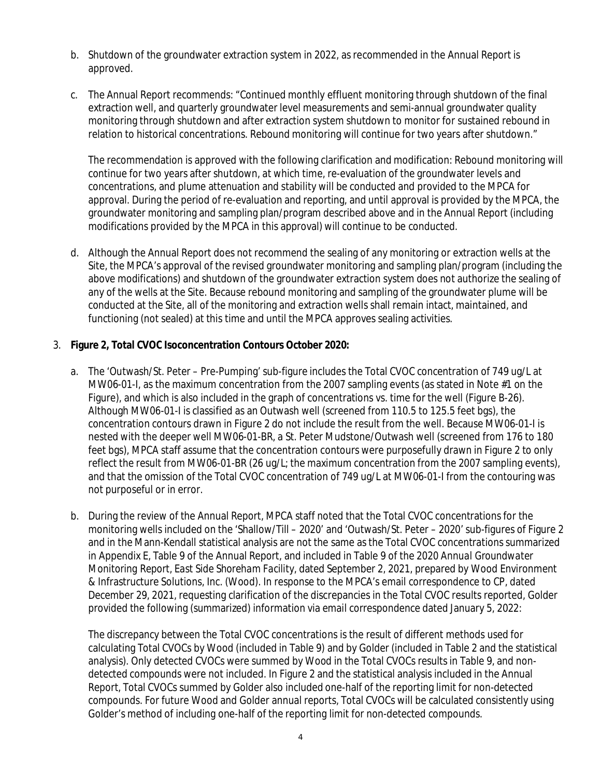- b. Shutdown of the groundwater extraction system in 2022, as recommended in the Annual Report is approved.
- c. The Annual Report recommends: "Continued monthly effluent monitoring through shutdown of the final extraction well, and quarterly groundwater level measurements and semi-annual groundwater quality monitoring through shutdown and after extraction system shutdown to monitor for sustained rebound in relation to historical concentrations. Rebound monitoring will continue for two years after shutdown."

The recommendation is approved with the following clarification and modification: Rebound monitoring will continue for two years after shutdown, at which time, re-evaluation of the groundwater levels and concentrations, and plume attenuation and stability will be conducted and provided to the MPCA for approval. During the period of re-evaluation and reporting, and until approval is provided by the MPCA, the groundwater monitoring and sampling plan/program described above and in the Annual Report (including modifications provided by the MPCA in this approval) will continue to be conducted.

- d. Although the Annual Report does not recommend the sealing of any monitoring or extraction wells at the Site, the MPCA's approval of the revised groundwater monitoring and sampling plan/program (including the above modifications) and shutdown of the groundwater extraction system does not authorize the sealing of any of the wells at the Site. Because rebound monitoring and sampling of the groundwater plume will be conducted at the Site, all of the monitoring and extraction wells shall remain intact, maintained, and functioning (not sealed) at this time and until the MPCA approves sealing activities.
- 3. **Figure 2, Total CVOC Isoconcentration Contours October 2020:**
	- a. The 'Outwash/St. Peter Pre-Pumping' sub-figure includes the Total CVOC concentration of 749 ug/L at MW06-01-I, as the maximum concentration from the 2007 sampling events (as stated in Note #1 on the Figure), and which is also included in the graph of concentrations vs. time for the well (Figure B-26). Although MW06-01-I is classified as an Outwash well (screened from 110.5 to 125.5 feet bgs), the concentration contours drawn in Figure 2 do not include the result from the well. Because MW06-01-I is nested with the deeper well MW06-01-BR, a St. Peter Mudstone/Outwash well (screened from 176 to 180 feet bgs), MPCA staff assume that the concentration contours were purposefully drawn in Figure 2 to only reflect the result from MW06-01-BR (26 ug/L; the maximum concentration from the 2007 sampling events), and that the omission of the Total CVOC concentration of 749 ug/L at MW06-01-I from the contouring was not purposeful or in error.
	- b. During the review of the Annual Report, MPCA staff noted that the Total CVOC concentrations for the monitoring wells included on the 'Shallow/Till – 2020' and 'Outwash/St. Peter – 2020' sub-figures of Figure 2 and in the Mann-Kendall statistical analysis are not the same as the Total CVOC concentrations summarized in Appendix E, Table 9 of the Annual Report, and included in Table 9 of the *2020 Annual Groundwater Monitoring Report, East Side Shoreham Facility*, dated September 2, 2021, prepared by Wood Environment & Infrastructure Solutions, Inc. (Wood). In response to the MPCA's email correspondence to CP, dated December 29, 2021, requesting clarification of the discrepancies in the Total CVOC results reported, Golder provided the following (summarized) information via email correspondence dated January 5, 2022:

The discrepancy between the Total CVOC concentrations is the result of different methods used for calculating Total CVOCs by Wood (included in Table 9) and by Golder (included in Table 2 and the statistical analysis). Only detected CVOCs were summed by Wood in the Total CVOCs results in Table 9, and nondetected compounds were not included. In Figure 2 and the statistical analysis included in the Annual Report, Total CVOCs summed by Golder also included one-half of the reporting limit for non-detected compounds. For future Wood and Golder annual reports, Total CVOCs will be calculated consistently using Golder's method of including one-half of the reporting limit for non-detected compounds.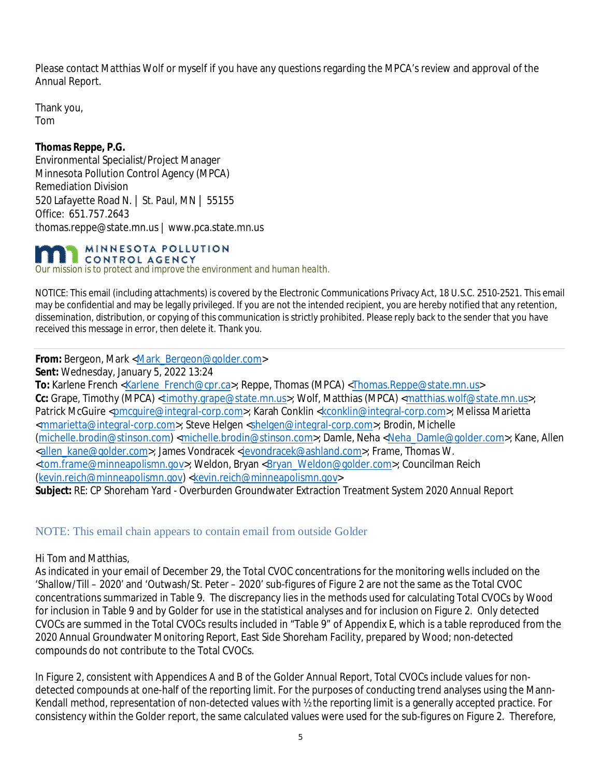Please contact Matthias Wolf or myself if you have any questions regarding the MPCA's review and approval of the Annual Report.

Thank you, Tom

**Thomas Reppe, P.G.** Environmental Specialist/Project Manager Minnesota Pollution Control Agency (MPCA) Remediation Division 520 Lafayette Road N. | St. Paul, MN | 55155 Office: 651.757.2643 thomas.reppe@state.mn.us | www.pca.state.mn.us

MINNESOTA POLLUTION CONTROL AGENCY

*Our mission is to protect and improve the environment and human health.*

NOTICE: This email (including attachments) is covered by the Electronic Communications Privacy Act, 18 U.S.C. 2510-2521. This email may be confidential and may be legally privileged. If you are not the intended recipient, you are hereby notified that any retention, dissemination, distribution, or copying of this communication is strictly prohibited. Please reply back to the sender that you have received this message in error, then delete it. Thank you.

**From:** Bergeon, Mark <Mark\_Bergeon@golder.com>

**Sent:** Wednesday, January 5, 2022 13:24

To: Karlene French <Karlene\_French@cpr.ca>; Reppe, Thomas (MPCA) <Thomas.Reppe@state.mn.us> **Cc:** Grape, Timothy (MPCA) <timothy.grape@state.mn.us>; Wolf, Matthias (MPCA) <matthias.wolf@state.mn.us>; Patrick McGuire <pmcguire@integral-corp.com>; Karah Conklin <kconklin@integral-corp.com>; Melissa Marietta <mmarietta@integral-corp.com>; Steve Helgen <shelgen@integral-corp.com>; Brodin, Michelle (michelle.brodin@stinson.com) <michelle.brodin@stinson.com>; Damle, Neha <Neha\_Damle@golder.com>; Kane, Allen <allen\_kane@golder.com>; James Vondracek <jevondracek@ashland.com>; Frame, Thomas W. <tom.frame@minneapolismn.gov>; Weldon, Bryan <Bryan\_Weldon@golder.com>; Councilman Reich (kevin.reich@minneapolismn.gov) <kevin.reich@minneapolismn.gov> **Subject:** RE: CP Shoreham Yard - Overburden Groundwater Extraction Treatment System 2020 Annual Report

NOTE: This email chain appears to contain email from outside Golder

Hi Tom and Matthias,

As indicated in your email of December 29, the Total CVOC concentrations for the monitoring wells included on the 'Shallow/Till – 2020' and 'Outwash/St. Peter – 2020' sub-figures of Figure 2 are not the same as the Total CVOC concentrations summarized in Table 9. The discrepancy lies in the methods used for calculating Total CVOCs by Wood for inclusion in Table 9 and by Golder for use in the statistical analyses and for inclusion on Figure 2. Only detected CVOCs are summed in the Total CVOCs results included in "Table 9" of Appendix E, which is a table reproduced from the 2020 Annual Groundwater Monitoring Report, East Side Shoreham Facility, prepared by Wood; non-detected compounds do not contribute to the Total CVOCs.

In Figure 2, consistent with Appendices A and B of the Golder Annual Report, Total CVOCs include values for nondetected compounds at one-half of the reporting limit. For the purposes of conducting trend analyses using the Mann-Kendall method, representation of non-detected values with ½ the reporting limit is a generally accepted practice. For consistency within the Golder report, the same calculated values were used for the sub-figures on Figure 2. Therefore,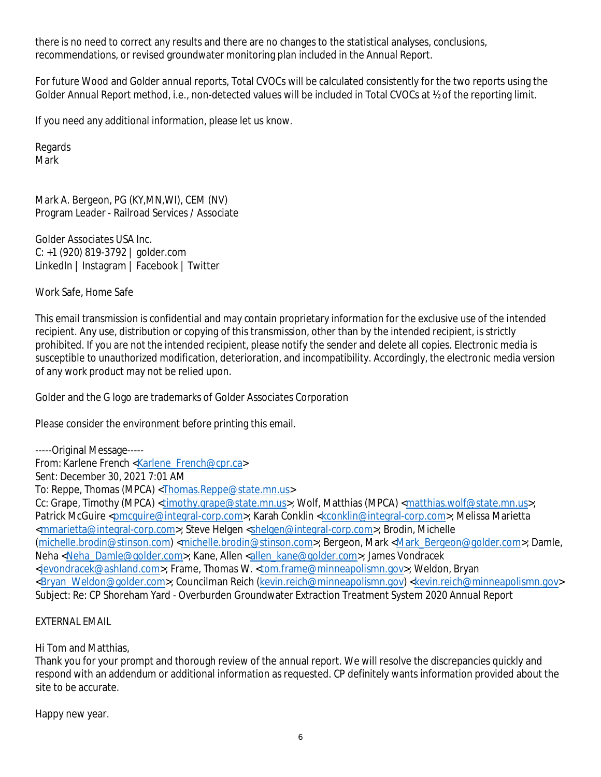there is no need to correct any results and there are no changes to the statistical analyses, conclusions, recommendations, or revised groundwater monitoring plan included in the Annual Report.

For future Wood and Golder annual reports, Total CVOCs will be calculated consistently for the two reports using the Golder Annual Report method, i.e., non-detected values will be included in Total CVOCs at  $\frac{1}{2}$  of the reporting limit.

If you need any additional information, please let us know.

Regards **Mark** 

Mark A. Bergeon, PG (KY,MN,WI), CEM (NV) Program Leader - Railroad Services / Associate

Golder Associates USA Inc. C: +1 (920) 819-3792 | golder.com LinkedIn | Instagram | Facebook | Twitter

Work Safe, Home Safe

This email transmission is confidential and may contain proprietary information for the exclusive use of the intended recipient. Any use, distribution or copying of this transmission, other than by the intended recipient, is strictly prohibited. If you are not the intended recipient, please notify the sender and delete all copies. Electronic media is susceptible to unauthorized modification, deterioration, and incompatibility. Accordingly, the electronic media version of any work product may not be relied upon.

Golder and the G logo are trademarks of Golder Associates Corporation

Please consider the environment before printing this email.

-----Original Message----- From: Karlene French <Karlene\_French@cpr.ca> Sent: December 30, 2021 7:01 AM To: Reppe, Thomas (MPCA) <Thomas.Reppe@state.mn.us> Cc: Grape, Timothy (MPCA) <timothy.grape@state.mn.us>; Wolf, Matthias (MPCA) <matthias.wolf@state.mn.us>; Patrick McGuire <pmcquire@integral-corp.com>; Karah Conklin <kconklin@integral-corp.com>; Melissa Marietta <mmarietta@integral-corp.com>; Steve Helgen <shelgen@integral-corp.com>; Brodin, Michelle (michelle.brodin@stinson.com) <michelle.brodin@stinson.com>; Bergeon, Mark <Mark\_Bergeon@golder.com>; Damle, Neha <Neha\_Damle@golder.com>; Kane, Allen <allen\_kane@golder.com>; James Vondracek <jevondracek@ashland.com>; Frame, Thomas W. <tom.frame@minneapolismn.gov>; Weldon, Bryan <Bryan\_Weldon@golder.com>; Councilman Reich (kevin.reich@minneapolismn.gov) <kevin.reich@minneapolismn.gov> Subject: Re: CP Shoreham Yard - Overburden Groundwater Extraction Treatment System 2020 Annual Report

## EXTERNAL EMAIL

Hi Tom and Matthias,

Thank you for your prompt and thorough review of the annual report. We will resolve the discrepancies quickly and respond with an addendum or additional information as requested. CP definitely wants information provided about the site to be accurate.

Happy new year.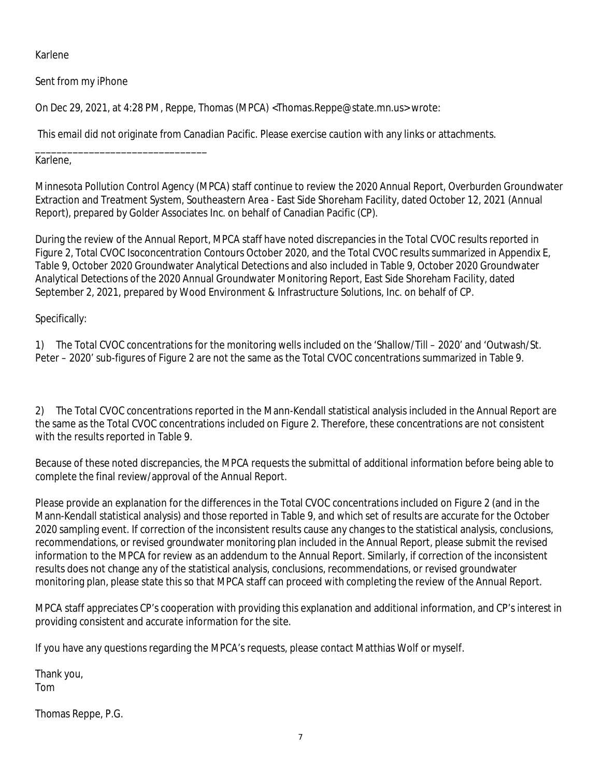Karlene

Sent from my iPhone

On Dec 29, 2021, at 4:28 PM, Reppe, Thomas (MPCA) <Thomas.Reppe@state.mn.us> wrote:

This email did not originate from Canadian Pacific. Please exercise caution with any links or attachments.

\_\_\_\_\_\_\_\_\_\_\_\_\_\_\_\_\_\_\_\_\_\_\_\_\_\_\_\_\_\_\_\_ Karlene,

Minnesota Pollution Control Agency (MPCA) staff continue to review the 2020 Annual Report, Overburden Groundwater Extraction and Treatment System, Southeastern Area - East Side Shoreham Facility, dated October 12, 2021 (Annual Report), prepared by Golder Associates Inc. on behalf of Canadian Pacific (CP).

During the review of the Annual Report, MPCA staff have noted discrepancies in the Total CVOC results reported in Figure 2, Total CVOC Isoconcentration Contours October 2020, and the Total CVOC results summarized in Appendix E, Table 9, October 2020 Groundwater Analytical Detections and also included in Table 9, October 2020 Groundwater Analytical Detections of the 2020 Annual Groundwater Monitoring Report, East Side Shoreham Facility, dated September 2, 2021, prepared by Wood Environment & Infrastructure Solutions, Inc. on behalf of CP.

# Specifically:

1) The Total CVOC concentrations for the monitoring wells included on the 'Shallow/Till – 2020' and 'Outwash/St. Peter – 2020' sub-figures of Figure 2 are not the same as the Total CVOC concentrations summarized in Table 9.

2) The Total CVOC concentrations reported in the Mann-Kendall statistical analysis included in the Annual Report are the same as the Total CVOC concentrations included on Figure 2. Therefore, these concentrations are not consistent with the results reported in Table 9.

Because of these noted discrepancies, the MPCA requests the submittal of additional information before being able to complete the final review/approval of the Annual Report.

Please provide an explanation for the differences in the Total CVOC concentrations included on Figure 2 (and in the Mann-Kendall statistical analysis) and those reported in Table 9, and which set of results are accurate for the October 2020 sampling event. If correction of the inconsistent results cause any changes to the statistical analysis, conclusions, recommendations, or revised groundwater monitoring plan included in the Annual Report, please submit the revised information to the MPCA for review as an addendum to the Annual Report. Similarly, if correction of the inconsistent results does not change any of the statistical analysis, conclusions, recommendations, or revised groundwater monitoring plan, please state this so that MPCA staff can proceed with completing the review of the Annual Report.

MPCA staff appreciates CP's cooperation with providing this explanation and additional information, and CP's interest in providing consistent and accurate information for the site.

If you have any questions regarding the MPCA's requests, please contact Matthias Wolf or myself.

Thank you, Tom

Thomas Reppe, P.G.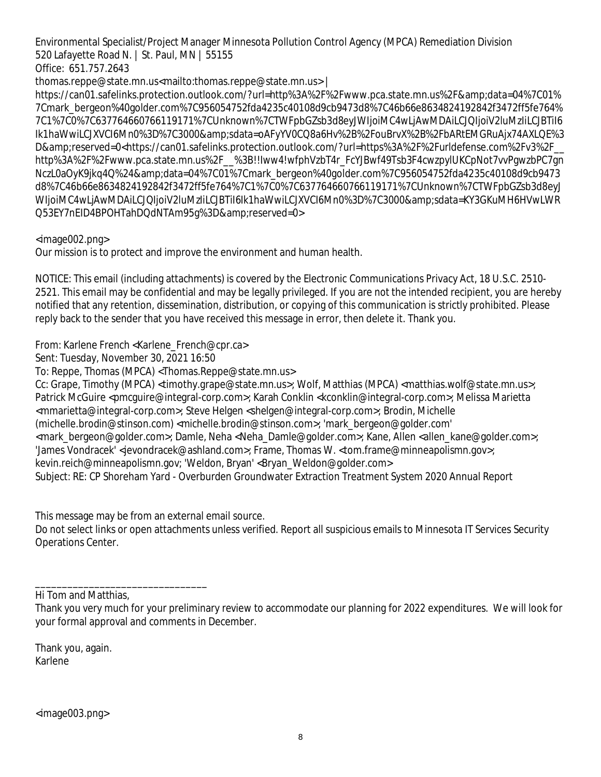Environmental Specialist/Project Manager Minnesota Pollution Control Agency (MPCA) Remediation Division 520 Lafayette Road N. | St. Paul, MN | 55155

Office: 651.757.2643

thomas.reppe@state.mn.us<mailto:thomas.reppe@state.mn.us> |

https://can01.safelinks.protection.outlook.com/?url=http%3A%2F%2Fwww.pca.state.mn.us%2F&data=04%7C01% 7Cmark\_bergeon%40golder.com%7C956054752fda4235c40108d9cb9473d8%7C46b66e8634824192842f3472ff5fe764% 7C1%7C0%7C637764660766119171%7CUnknown%7CTWFpbGZsb3d8eyJWIjoiMC4wLjAwMDAiLCJQIjoiV2luMzIiLCJBTiI6 Ik1haWwiLCJXVCI6Mn0%3D%7C3000&sdata=oAFyYV0CQ8a6Hv%2B%2FouBrvX%2B%2FbARtEMGRuAjx74AXLQE%3 D&reserved=0<https://can01.safelinks.protection.outlook.com/?url=https%3A%2F%2Furldefense.com%2Fv3%2F http%3A%2F%2Fwww.pca.state.mn.us%2F\_\_%3B!!Iww4!wfphVzbT4r\_FcYJBwf49Tsb3F4cwzpylUKCpNot7vvPgwzbPC7gn NczL0aOyK9jkq4Q%24&data=04%7C01%7Cmark\_bergeon%40golder.com%7C956054752fda4235c40108d9cb9473 d8%7C46b66e8634824192842f3472ff5fe764%7C1%7C0%7C637764660766119171%7CUnknown%7CTWFpbGZsb3d8eyJ WIjoiMC4wLjAwMDAiLCJQIjoiV2IuMzIiLCJBTiI6Ik1haWwiLCJXVCI6Mn0%3D%7C3000&sdata=KY3GKuMH6HVwLWR Q53EY7nEID4BPOHTahDQdNTAm95g%3D&reserved=0>

<image002.png>

Our mission is to protect and improve the environment and human health.

NOTICE: This email (including attachments) is covered by the Electronic Communications Privacy Act, 18 U.S.C. 2510- 2521. This email may be confidential and may be legally privileged. If you are not the intended recipient, you are hereby notified that any retention, dissemination, distribution, or copying of this communication is strictly prohibited. Please reply back to the sender that you have received this message in error, then delete it. Thank you.

From: Karlene French <Karlene\_French@cpr.ca>

Sent: Tuesday, November 30, 2021 16:50

To: Reppe, Thomas (MPCA) <Thomas.Reppe@state.mn.us>

Cc: Grape, Timothy (MPCA) <timothy.grape@state.mn.us>; Wolf, Matthias (MPCA) <matthias.wolf@state.mn.us>; Patrick McGuire <pmcquire@integral-corp.com>; Karah Conklin <kconklin@integral-corp.com>; Melissa Marietta <mmarietta@integral-corp.com>; Steve Helgen <shelgen@integral-corp.com>; Brodin, Michelle (michelle.brodin@stinson.com) <michelle.brodin@stinson.com>; 'mark\_bergeon@golder.com' <mark\_bergeon@golder.com>; Damle, Neha <Neha\_Damle@golder.com>; Kane, Allen <allen\_kane@golder.com>; 'James Vondracek' <jevondracek@ashland.com>; Frame, Thomas W. <tom.frame@minneapolismn.gov>; kevin.reich@minneapolismn.gov; 'Weldon, Bryan' <Bryan\_Weldon@golder.com> Subject: RE: CP Shoreham Yard - Overburden Groundwater Extraction Treatment System 2020 Annual Report

This message may be from an external email source.

\_\_\_\_\_\_\_\_\_\_\_\_\_\_\_\_\_\_\_\_\_\_\_\_\_\_\_\_\_\_\_\_

Do not select links or open attachments unless verified. Report all suspicious emails to Minnesota IT Services Security Operations Center.

Hi Tom and Matthias,

Thank you, again. Karlene

Thank you very much for your preliminary review to accommodate our planning for 2022 expenditures. We will look for your formal approval and comments in December.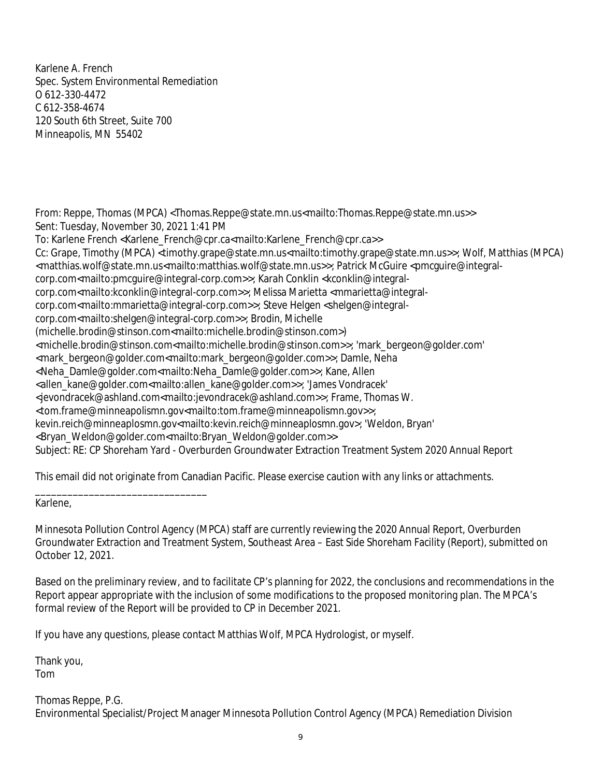Karlene A. French Spec. System Environmental Remediation O 612-330-4472 C 612-358-4674 120 South 6th Street, Suite 700 Minneapolis, MN 55402

From: Reppe, Thomas (MPCA) <Thomas.Reppe@state.mn.us<mailto:Thomas.Reppe@state.mn.us>> Sent: Tuesday, November 30, 2021 1:41 PM To: Karlene French <Karlene\_French@cpr.ca<mailto:Karlene\_French@cpr.ca>> Cc: Grape, Timothy (MPCA) <timothy.grape@state.mn.us<mailto:timothy.grape@state.mn.us>>; Wolf, Matthias (MPCA) <matthias.wolf@state.mn.us<mailto:matthias.wolf@state.mn.us>>; Patrick McGuire <pmcguire@integralcorp.com<mailto:pmcguire@integral-corp.com>>; Karah Conklin <kconklin@integralcorp.com<mailto:kconklin@integral-corp.com>>; Melissa Marietta <mmarietta@integralcorp.com<mailto:mmarietta@integral-corp.com>>; Steve Helgen <shelgen@integralcorp.com<mailto:shelgen@integral-corp.com>>; Brodin, Michelle (michelle.brodin@stinson.com<mailto:michelle.brodin@stinson.com>) <michelle.brodin@stinson.com<mailto:michelle.brodin@stinson.com>>; 'mark\_bergeon@golder.com' <mark\_bergeon@golder.com<mailto:mark\_bergeon@golder.com>>; Damle, Neha <Neha\_Damle@golder.com<mailto:Neha\_Damle@golder.com>>; Kane, Allen <allen\_kane@golder.com<mailto:allen\_kane@golder.com>>; 'James Vondracek' <jevondracek@ashland.com<mailto:jevondracek@ashland.com>>; Frame, Thomas W. <tom.frame@minneapolismn.gov<mailto:tom.frame@minneapolismn.gov>>; kevin.reich@minneaplosmn.gov<mailto:kevin.reich@minneaplosmn.gov>; 'Weldon, Bryan' <Bryan\_Weldon@golder.com<mailto:Bryan\_Weldon@golder.com>> Subject: RE: CP Shoreham Yard - Overburden Groundwater Extraction Treatment System 2020 Annual Report

This email did not originate from Canadian Pacific. Please exercise caution with any links or attachments.

Karlene,

\_\_\_\_\_\_\_\_\_\_\_\_\_\_\_\_\_\_\_\_\_\_\_\_\_\_\_\_\_\_\_\_

Minnesota Pollution Control Agency (MPCA) staff are currently reviewing the 2020 Annual Report, Overburden Groundwater Extraction and Treatment System, Southeast Area – East Side Shoreham Facility (Report), submitted on October 12, 2021.

Based on the preliminary review, and to facilitate CP's planning for 2022, the conclusions and recommendations in the Report appear appropriate with the inclusion of some modifications to the proposed monitoring plan. The MPCA's formal review of the Report will be provided to CP in December 2021.

If you have any questions, please contact Matthias Wolf, MPCA Hydrologist, or myself.

Thank you, Tom

Thomas Reppe, P.G. Environmental Specialist/Project Manager Minnesota Pollution Control Agency (MPCA) Remediation Division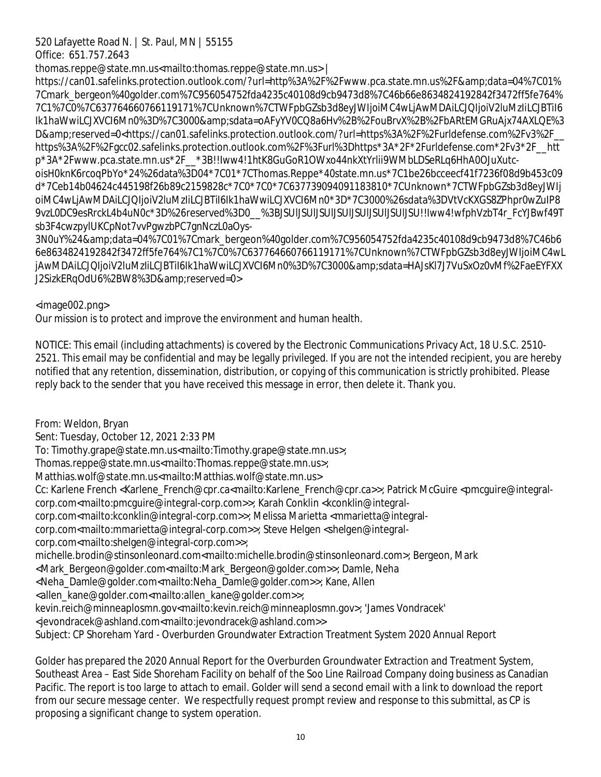# 520 Lafayette Road N. | St. Paul, MN | 55155

Office: 651.757.2643

thomas.reppe@state.mn.us<mailto:thomas.reppe@state.mn.us> |

https://can01.safelinks.protection.outlook.com/?url=http%3A%2F%2Fwww.pca.state.mn.us%2F&data=04%7C01% 7Cmark\_bergeon%40golder.com%7C956054752fda4235c40108d9cb9473d8%7C46b66e8634824192842f3472ff5fe764% 7C1%7C0%7C637764660766119171%7CUnknown%7CTWFpbGZsb3d8eyJWIjoiMC4wLjAwMDAiLCJQIjoiV2luMzIiLCJBTiI6 Ik1haWwiLCJXVCI6Mn0%3D%7C3000&sdata=oAFyYV0CQ8a6Hv%2B%2FouBrvX%2B%2FbARtEMGRuAjx74AXLQE%3 D&reserved=0<https://can01.safelinks.protection.outlook.com/?url=https%3A%2F%2Furldefense.com%2Fv3%2F\_ https%3A%2F%2Fgcc02.safelinks.protection.outlook.com%2F%3Furl%3Dhttps\*3A\*2F\*2Furldefense.com\*2Fv3\*2F\_\_htt p\*3A\*2Fwww.pca.state.mn.us\*2F\_\_\*3B!!Iww4!1htK8GuGoR1OWxo44nkXtYrlii9WMbLDSeRLq6HhA0OJuXutcoisH0knK6rcoqPbYo\*24%26data%3D04\*7C01\*7CThomas.Reppe\*40state.mn.us\*7C1be26bcceecf41f7236f08d9b453c09 d\*7Ceb14b04624c445198f26b89c2159828c\*7C0\*7C0\*7C637739094091183810\*7CUnknown\*7CTWFpbGZsb3d8eyJWIj oiMC4wLjAwMDAiLCJQIjoiV2luMzIiLCJBTiI6Ik1haWwiLCJXVCI6Mn0\*3D\*7C3000%26sdata%3DVtVcKXGS8ZPhpr0wZuIP8 9vzL0DC9esRrckL4b4uN0c\*3D%26reserved%3D0\_\_%3BJSUlJSUlJSUlJSUlJSUlJSUlJSUlJSU!!Iww4!wfphVzbT4r\_FcYJBwf49T sb3F4cwzpylUKCpNot7vvPgwzbPC7gnNczL0aOys-

3N0uY%24&data=04%7C01%7Cmark\_bergeon%40golder.com%7C956054752fda4235c40108d9cb9473d8%7C46b6 6e8634824192842f3472ff5fe764%7C1%7C0%7C637764660766119171%7CUnknown%7CTWFpbGZsb3d8eyJWIjoiMC4wL jAwMDAiLCJQIjoiV2luMzliLCJBTiI6Ik1haWwiLCJXVCI6Mn0%3D%7C3000&sdata=HAJsKI7J7VuSxOz0vMf%2FaeEYFXX J2SizkERqOdU6%2BW8%3D&reserved=0>

<image002.png>

Our mission is to protect and improve the environment and human health.

NOTICE: This email (including attachments) is covered by the Electronic Communications Privacy Act, 18 U.S.C. 2510- 2521. This email may be confidential and may be legally privileged. If you are not the intended recipient, you are hereby notified that any retention, dissemination, distribution, or copying of this communication is strictly prohibited. Please reply back to the sender that you have received this message in error, then delete it. Thank you.

From: Weldon, Bryan

Sent: Tuesday, October 12, 2021 2:33 PM

To: Timothy.grape@state.mn.us<mailto:Timothy.grape@state.mn.us>;

Thomas.reppe@state.mn.us<mailto:Thomas.reppe@state.mn.us>;

Matthias.wolf@state.mn.us<mailto:Matthias.wolf@state.mn.us>

Cc: Karlene French <Karlene\_French@cpr.ca<mailto:Karlene\_French@cpr.ca>>; Patrick McGuire <pmcguire@integralcorp.com<mailto:pmcguire@integral-corp.com>>; Karah Conklin <kconklin@integral-

corp.com<mailto:kconklin@integral-corp.com>>; Melissa Marietta <mmarietta@integral-

corp.com<mailto:mmarietta@integral-corp.com>>; Steve Helgen <shelgen@integral-

corp.com<mailto:shelgen@integral-corp.com>>;

michelle.brodin@stinsonleonard.com<mailto:michelle.brodin@stinsonleonard.com>; Bergeon, Mark

<Mark\_Bergeon@golder.com<mailto:Mark\_Bergeon@golder.com>>; Damle, Neha

<Neha\_Damle@golder.com<mailto:Neha\_Damle@golder.com>>; Kane, Allen

<allen\_kane@golder.com<mailto:allen\_kane@golder.com>>;

kevin.reich@minneaplosmn.gov<mailto:kevin.reich@minneaplosmn.gov>; 'James Vondracek'

<jevondracek@ashland.com<mailto:jevondracek@ashland.com>>

Subject: CP Shoreham Yard - Overburden Groundwater Extraction Treatment System 2020 Annual Report

Golder has prepared the 2020 Annual Report for the Overburden Groundwater Extraction and Treatment System, Southeast Area – East Side Shoreham Facility on behalf of the Soo Line Railroad Company doing business as Canadian Pacific. The report is too large to attach to email. Golder will send a second email with a link to download the report from our secure message center. We respectfully request prompt review and response to this submittal, as CP is proposing a significant change to system operation.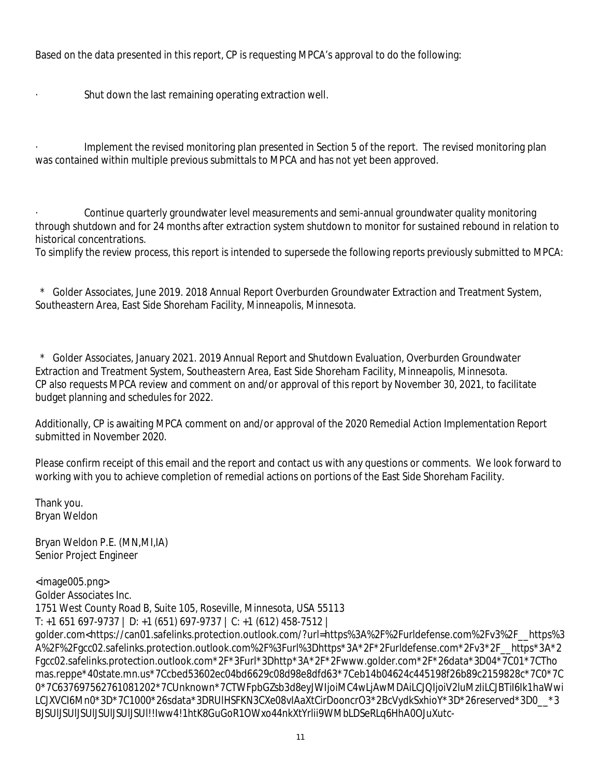Based on the data presented in this report, CP is requesting MPCA's approval to do the following:

· Shut down the last remaining operating extraction well.

Implement the revised monitoring plan presented in Section 5 of the report. The revised monitoring plan was contained within multiple previous submittals to MPCA and has not yet been approved.

· Continue quarterly groundwater level measurements and semi-annual groundwater quality monitoring through shutdown and for 24 months after extraction system shutdown to monitor for sustained rebound in relation to historical concentrations.

To simplify the review process, this report is intended to supersede the following reports previously submitted to MPCA:

 \* Golder Associates, June 2019. 2018 Annual Report Overburden Groundwater Extraction and Treatment System, Southeastern Area, East Side Shoreham Facility, Minneapolis, Minnesota.

 \* Golder Associates, January 2021. 2019 Annual Report and Shutdown Evaluation, Overburden Groundwater Extraction and Treatment System, Southeastern Area, East Side Shoreham Facility, Minneapolis, Minnesota. CP also requests MPCA review and comment on and/or approval of this report by November 30, 2021, to facilitate budget planning and schedules for 2022.

Additionally, CP is awaiting MPCA comment on and/or approval of the 2020 Remedial Action Implementation Report submitted in November 2020.

Please confirm receipt of this email and the report and contact us with any questions or comments. We look forward to working with you to achieve completion of remedial actions on portions of the East Side Shoreham Facility.

Thank you. Bryan Weldon

Bryan Weldon P.E. (MN,MI,IA) Senior Project Engineer

<image005.png> Golder Associates Inc. 1751 West County Road B, Suite 105, Roseville, Minnesota, USA 55113 T: +1 651 697-9737 | D: +1 (651) 697-9737 | C: +1 (612) 458-7512 | golder.com<https://can01.safelinks.protection.outlook.com/?url=https%3A%2F%2Furldefense.com%2Fv3%2F\_\_https%3 A%2F%2Fgcc02.safelinks.protection.outlook.com%2F%3Furl%3Dhttps\*3A\*2F\*2Furldefense.com\*2Fv3\*2F\_\_https\*3A\*2 Fgcc02.safelinks.protection.outlook.com\*2F\*3Furl\*3Dhttp\*3A\*2F\*2Fwww.golder.com\*2F\*26data\*3D04\*7C01\*7CTho mas.reppe\*40state.mn.us\*7Ccbed53602ec04bd6629c08d98e8dfd63\*7Ceb14b04624c445198f26b89c2159828c\*7C0\*7C 0\*7C637697562761081202\*7CUnknown\*7CTWFpbGZsb3d8eyJWIjoiMC4wLjAwMDAiLCJQIjoiV2luMzIiLCJBTiI6Ik1haWwi LCJXVCI6Mn0\*3D\*7C1000\*26sdata\*3DRUlHSFKN3CXe08vIAaXtCirDooncrO3\*2BcVydkSxhioY\*3D\*26reserved\*3D0\_\_\*3 BJSUlJSUlJSUlJSUlJSUlJSUl!!Iww4!1htK8GuGoR1OWxo44nkXtYrlii9WMbLDSeRLq6HhA0OJuXutc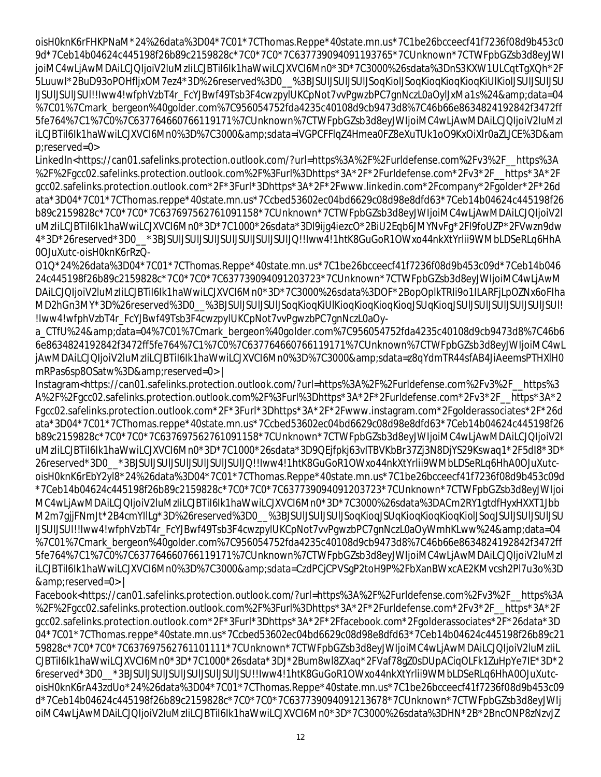oisH0knK6rFHKPNaM\*24%26data%3D04\*7C01\*7CThomas.Reppe\*40state.mn.us\*7C1be26bcceecf41f7236f08d9b453c0 9d\*7Ceb14b04624c445198f26b89c2159828c\*7C0\*7C0\*7C637739094091193765\*7CUnknown\*7CTWFpbGZsb3d8eyJWI joiMC4wLjAwMDAiLCJQIjoiV2luMzIiLCJBTiI6Ik1haWwiLCJXVCI6Mn0\*3D\*7C3000%26sdata%3DnS3KXW1ULCqtTgXQh\*2F 5LuuwI\*2BuD93oPOHfljxOM7ez4\*3D%26reserved%3D0\_\_%3BJSUlJSUlJSUlJSoqKiolJSoqKioqKioqKioqKiUlKiolJSUlJSUlJSU lJSUlJSUlJSUl!!Iww4!wfphVzbT4r\_FcYJBwf49Tsb3F4cwzpylUKCpNot7vvPgwzbPC7gnNczL0aOylJxMa1s%24&data=04 %7C01%7Cmark\_bergeon%40golder.com%7C956054752fda4235c40108d9cb9473d8%7C46b66e8634824192842f3472ff 5fe764%7C1%7C0%7C637764660766119171%7CUnknown%7CTWFpbGZsb3d8eyJWIjoiMC4wLjAwMDAiLCJQIjoiV2luMzI iLCJBTiI6Ik1haWwiLCJXVCI6Mn0%3D%7C3000&sdata=iVGPCFFIqZ4Hmea0FZ8eXuTUk1oO9KxOiXlr0aZLJCE%3D&am p;reserved=0>

LinkedIn<https://can01.safelinks.protection.outlook.com/?url=https%3A%2F%2Furldefense.com%2Fv3%2F\_\_https%3A %2F%2Fgcc02.safelinks.protection.outlook.com%2F%3Furl%3Dhttps\*3A\*2F\*2Furldefense.com\*2Fv3\*2F\_\_https\*3A\*2F gcc02.safelinks.protection.outlook.com\*2F\*3Furl\*3Dhttps\*3A\*2F\*2Fwww.linkedin.com\*2Fcompany\*2Fgolder\*2F\*26d ata\*3D04\*7C01\*7CThomas.reppe\*40state.mn.us\*7Ccbed53602ec04bd6629c08d98e8dfd63\*7Ceb14b04624c445198f26 b89c2159828c\*7C0\*7C0\*7C637697562761091158\*7CUnknown\*7CTWFpbGZsb3d8eyJWIjoiMC4wLjAwMDAiLCJQIjoiV2l uMzIiLCJBTiI6Ik1haWwiLCJXVCI6Mn0\*3D\*7C1000\*26sdata\*3Dl9ijg4iezcO\*2BiU2Eqb6JMYNvFg\*2Fl9foUZP\*2FVwzn9dw 4\*3D\*26reserved\*3D0\_\_\*3BJSUlJSUlJSUlJSUlJSUlJSUlJSUlJQ!!Iww4!1htK8GuGoR1OWxo44nkXtYrlii9WMbLDSeRLq6HhA 0OJuXutc-oisH0knK6rRzQ-

O1Q\*24%26data%3D04\*7C01\*7CThomas.Reppe\*40state.mn.us\*7C1be26bcceecf41f7236f08d9b453c09d\*7Ceb14b046 24c445198f26b89c2159828c\*7C0\*7C0\*7C637739094091203723\*7CUnknown\*7CTWFpbGZsb3d8eyJWIjoiMC4wLjAwM DAiLCJQIjoiV2luMzIiLCJBTiI6Ik1haWwiLCJXVCI6Mn0\*3D\*7C3000%26sdata%3DOF\*2BopOplkTRIi9o1ILARFjLpOZNx6oFIha MD2hGn3MY\*3D%26reserved%3D0\_\_%3BJSUlJSUlJSUlJSoqKioqKiUlKioqKioqKioqKioqJSUqKioqJSUlJSUlJSUlJSUlJSUlJSUl! !Iww4!wfphVzbT4r\_FcYJBwf49Tsb3F4cwzpylUKCpNot7vvPgwzbPC7gnNczL0aOy-

a\_CTfU%24&data=04%7C01%7Cmark\_bergeon%40golder.com%7C956054752fda4235c40108d9cb9473d8%7C46b6 6e8634824192842f3472ff5fe764%7C1%7C0%7C637764660766119171%7CUnknown%7CTWFpbGZsb3d8eyJWIjoiMC4wL jAwMDAiLCJQIjoiV2luMzIiLCJBTiI6Ik1haWwiLCJXVCI6Mn0%3D%7C3000&sdata=z8qYdmTR44sfAB4JiAeemsPTHXIH0 mRPas6sp8OSatw%3D&reserved=0> |

Instagram<https://can01.safelinks.protection.outlook.com/?url=https%3A%2F%2Furldefense.com%2Fv3%2F\_\_https%3 A%2F%2Fgcc02.safelinks.protection.outlook.com%2F%3Furl%3Dhttps\*3A\*2F\*2Furldefense.com\*2Fv3\*2F\_\_https\*3A\*2 Fgcc02.safelinks.protection.outlook.com\*2F\*3Furl\*3Dhttps\*3A\*2F\*2Fwww.instagram.com\*2Fgolderassociates\*2F\*26d ata\*3D04\*7C01\*7CThomas.reppe\*40state.mn.us\*7Ccbed53602ec04bd6629c08d98e8dfd63\*7Ceb14b04624c445198f26 b89c2159828c\*7C0\*7C0\*7C637697562761091158\*7CUnknown\*7CTWFpbGZsb3d8eyJWIjoiMC4wLjAwMDAiLCJQIjoiV2l uMzIiLCJBTiI6Ik1haWwiLCJXVCI6Mn0\*3D\*7C1000\*26sdata\*3D9QEjfpkj63vITBVKbBr37Zj3N8DjYS29Kswaq1\*2F5dI8\*3D\* 26reserved\*3D0\_\_\*3BJSUlJSUlJSUlJSUlJSUlJSUlJQ!!Iww4!1htK8GuGoR1OWxo44nkXtYrlii9WMbLDSeRLq6HhA0OJuXutcoisH0knK6rEbY2yl8\*24%26data%3D04\*7C01\*7CThomas.Reppe\*40state.mn.us\*7C1be26bcceecf41f7236f08d9b453c09d \*7Ceb14b04624c445198f26b89c2159828c\*7C0\*7C0\*7C637739094091203723\*7CUnknown\*7CTWFpbGZsb3d8eyJWIjoi MC4wLjAwMDAiLCJQIjoiV2luMzIiLCJBTiI6Ik1haWwiLCJXVCI6Mn0\*3D\*7C3000%26sdata%3DACm2RY1gtdfHyxHXXT1Jbb M2m7gjjFNmJt\*2B4cmYIlLg\*3D%26reserved%3D0\_\_%3BJSUlJSUlJSUlJSoqKioqJSUqKioqKioqKioqKiolJSoqJSUlJSUlJSUlJSU lJSUlJSUl!!Iww4!wfphVzbT4r\_FcYJBwf49Tsb3F4cwzpylUKCpNot7vvPgwzbPC7gnNczL0aOyWmhKLww%24&data=04 %7C01%7Cmark\_bergeon%40golder.com%7C956054752fda4235c40108d9cb9473d8%7C46b66e8634824192842f3472ff 5fe764%7C1%7C0%7C637764660766119171%7CUnknown%7CTWFpbGZsb3d8eyJWIjoiMC4wLjAwMDAiLCJQIjoiV2luMzI iLCJBTiI6Ik1haWwiLCJXVCI6Mn0%3D%7C3000&sdata=CzdPCjCPVSqP2toH9P%2FbXanBWxcAE2KMvcsh2Pl7u3o%3D &reserved=0> |

Facebook<https://can01.safelinks.protection.outlook.com/?url=https%3A%2F%2Furldefense.com%2Fv3%2F\_\_https%3A %2F%2Fgcc02.safelinks.protection.outlook.com%2F%3Furl%3Dhttps\*3A\*2F\*2Furldefense.com\*2Fv3\*2F\_\_https\*3A\*2F gcc02.safelinks.protection.outlook.com\*2F\*3Furl\*3Dhttps\*3A\*2F\*2Ffacebook.com\*2Fgolderassociates\*2F\*26data\*3D 04\*7C01\*7CThomas.reppe\*40state.mn.us\*7Ccbed53602ec04bd6629c08d98e8dfd63\*7Ceb14b04624c445198f26b89c21 59828c\*7C0\*7C0\*7C637697562761101111\*7CUnknown\*7CTWFpbGZsb3d8eyJWIjoiMC4wLjAwMDAiLCJQIjoiV2luMzIiL CJBTiI6Ik1haWwiLCJXVCI6Mn0\*3D\*7C1000\*26sdata\*3DJ\*2Bum8wl8ZXaq\*2FVaf78gZ0sDUpACiqOLFk1ZuHpYe7IE\*3D\*2 6reserved\*3D0\_\_\*3BJSUlJSUlJSUlJSUlJSUlJSUlJSU!!Iww4!1htK8GuGoR1OWxo44nkXtYrlii9WMbLDSeRLq6HhA0OJuXutcoisH0knK6rA43zdUo\*24%26data%3D04\*7C01\*7CThomas.Reppe\*40state.mn.us\*7C1be26bcceecf41f7236f08d9b453c09 d\*7Ceb14b04624c445198f26b89c2159828c\*7C0\*7C0\*7C637739094091213678\*7CUnknown\*7CTWFpbGZsb3d8eyJWIj oiMC4wLjAwMDAiLCJQIjoiV2luMzIiLCJBTiI6Ik1haWwiLCJXVCI6Mn0\*3D\*7C3000%26sdata%3DHN\*2B\*2BncONP8zNzvJZ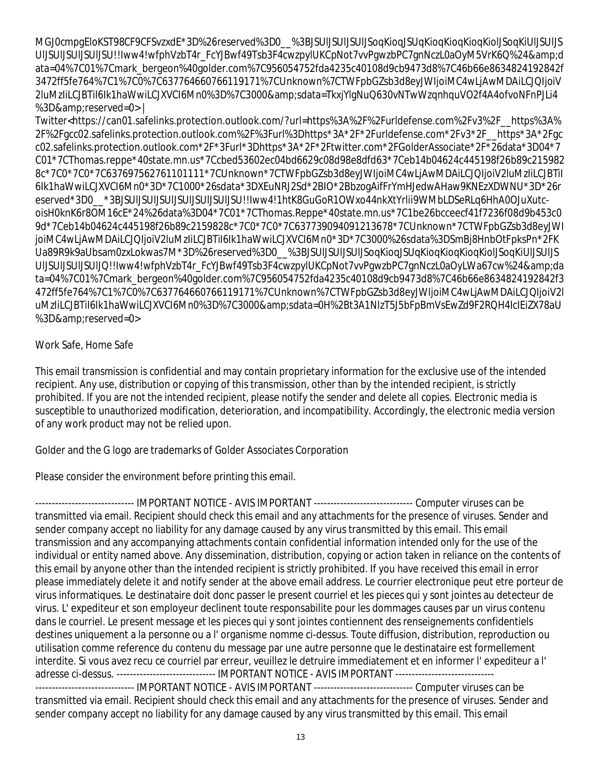MGJ0cmpgEloKST98CF9CFSvzxdE\*3D%26reserved%3D0\_\_%3BJSUlJSUlJSUlJSoqKioqJSUqKioqKioqKioqKiolJSoqKiUlJSUlJS UIJSUIJSUIJSU!!Iww4!wfphVzbT4r\_FcYJBwf49Tsb3F4cwzpylUKCpNot7vvPgwzbPC7gnNczL0aOyM5VrK6Q%24&d ata=04%7C01%7Cmark\_bergeon%40golder.com%7C956054752fda4235c40108d9cb9473d8%7C46b66e8634824192842f 3472ff5fe764%7C1%7C0%7C637764660766119171%7CUnknown%7CTWFpbGZsb3d8eyJWIjoiMC4wLjAwMDAiLCJQIjoiV 2luMzIiLCJBTiI6Ik1haWwiLCJXVCI6Mn0%3D%7C3000&sdata=TkxjYlgNuQ630vNTwWzqnhquVO2f4A4ofvoNFnPJLi4 %3D&reserved=0> |

Twitter<https://can01.safelinks.protection.outlook.com/?url=https%3A%2F%2Furldefense.com%2Fv3%2F\_\_https%3A% 2F%2Fgcc02.safelinks.protection.outlook.com%2F%3Furl%3Dhttps\*3A\*2F\*2Furldefense.com\*2Fv3\*2F\_\_https\*3A\*2Fgc c02.safelinks.protection.outlook.com\*2F\*3Furl\*3Dhttps\*3A\*2F\*2Ftwitter.com\*2FGolderAssociate\*2F\*26data\*3D04\*7 C01\*7CThomas.reppe\*40state.mn.us\*7Ccbed53602ec04bd6629c08d98e8dfd63\*7Ceb14b04624c445198f26b89c215982 8c\*7C0\*7C0\*7C637697562761101111\*7CUnknown\*7CTWFpbGZsb3d8eyJWIjoiMC4wLjAwMDAiLCJQIjoiV2luMzIiLCJBTiI 6Ik1haWwiLCJXVCI6Mn0\*3D\*7C1000\*26sdata\*3DXEuNRJ2Sd\*2BIO\*2BbzogAifFrYmHJedwAHaw9KNEzXDWNU\*3D\*26r eserved\*3D0\_\_\*3BJSUlJSUlJSUlJSUlJSUlJSUlJSU!!Iww4!1htK8GuGoR1OWxo44nkXtYrlii9WMbLDSeRLq6HhA0OJuXutcoisH0knK6r8OM16cE\*24%26data%3D04\*7C01\*7CThomas.Reppe\*40state.mn.us\*7C1be26bcceecf41f7236f08d9b453c0 9d\*7Ceb14b04624c445198f26b89c2159828c\*7C0\*7C0\*7C637739094091213678\*7CUnknown\*7CTWFpbGZsb3d8eyJWI joiMC4wLjAwMDAiLCJQIjoiV2luMzIiLCJBTiI6Ik1haWwiLCJXVCI6Mn0\*3D\*7C3000%26sdata%3DSmBj8HnbOtFpksPn\*2FK Ua89R9k9aUbsam0zxLokwas7M\*3D%26reserved%3D0\_\_%3BJSUlJSUlJSUlJSoqKioqJSUqKioqKioqKioqKiolJSoqKiUlJSUlJS UIJSUIJSUIJSUIJQ!!Iww4!wfphVzbT4r\_FcYJBwf49Tsb3F4cwzpylUKCpNot7vvPgwzbPC7gnNczL0aOyLWa67cw%24&da ta=04%7C01%7Cmark\_bergeon%40golder.com%7C956054752fda4235c40108d9cb9473d8%7C46b66e8634824192842f3 472ff5fe764%7C1%7C0%7C637764660766119171%7CUnknown%7CTWFpbGZsb3d8eyJWIjoiMC4wLjAwMDAiLCJQIjoiV2l uMzIiLCJBTiI6Ik1haWwiLCJXVCI6Mn0%3D%7C3000&sdata=0H%2Bt3A1NIzT5J5bFpBmVsEwZd9F2RQH4IcIEiZX78aU %3D&reserved=0>

## Work Safe, Home Safe

This email transmission is confidential and may contain proprietary information for the exclusive use of the intended recipient. Any use, distribution or copying of this transmission, other than by the intended recipient, is strictly prohibited. If you are not the intended recipient, please notify the sender and delete all copies. Electronic media is susceptible to unauthorized modification, deterioration, and incompatibility. Accordingly, the electronic media version of any work product may not be relied upon.

Golder and the G logo are trademarks of Golder Associates Corporation

Please consider the environment before printing this email.

------------------------------ IMPORTANT NOTICE - AVIS IMPORTANT ------------------------------ Computer viruses can be transmitted via email. Recipient should check this email and any attachments for the presence of viruses. Sender and sender company accept no liability for any damage caused by any virus transmitted by this email. This email transmission and any accompanying attachments contain confidential information intended only for the use of the individual or entity named above. Any dissemination, distribution, copying or action taken in reliance on the contents of this email by anyone other than the intended recipient is strictly prohibited. If you have received this email in error please immediately delete it and notify sender at the above email address. Le courrier electronique peut etre porteur de virus informatiques. Le destinataire doit donc passer le present courriel et les pieces qui y sont jointes au detecteur de virus. L' expediteur et son employeur declinent toute responsabilite pour les dommages causes par un virus contenu dans le courriel. Le present message et les pieces qui y sont jointes contiennent des renseignements confidentiels destines uniquement a la personne ou a l' organisme nomme ci-dessus. Toute diffusion, distribution, reproduction ou utilisation comme reference du contenu du message par une autre personne que le destinataire est formellement interdite. Si vous avez recu ce courriel par erreur, veuillez le detruire immediatement et en informer l' expediteur a l' adresse ci-dessus. ------------------------------ IMPORTANT NOTICE - AVIS IMPORTANT ------------------------------ ------------------------------ IMPORTANT NOTICE - AVIS IMPORTANT ------------------------------ Computer viruses can be transmitted via email. Recipient should check this email and any attachments for the presence of viruses. Sender and sender company accept no liability for any damage caused by any virus transmitted by this email. This email